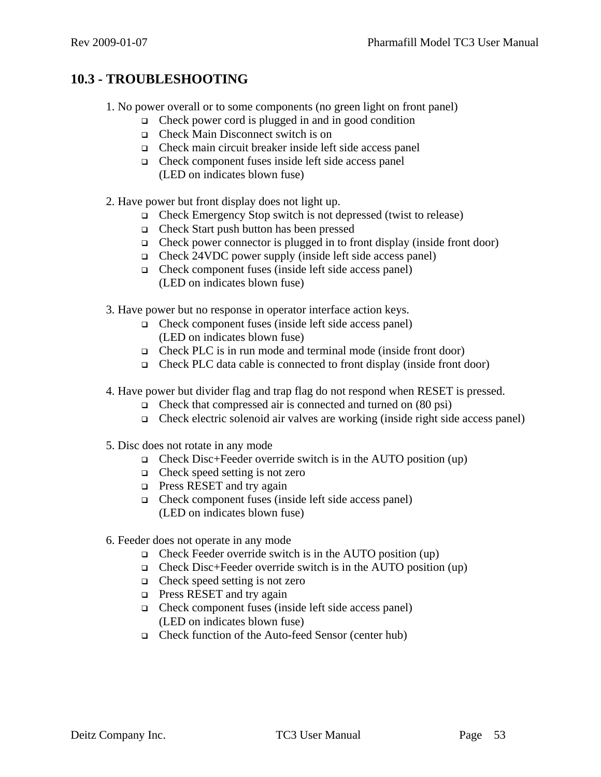## **10.3 - TROUBLESHOOTING**

- 1. No power overall or to some components (no green light on front panel)
	- $\Box$  Check power cord is plugged in and in good condition
	- Check Main Disconnect switch is on
	- Check main circuit breaker inside left side access panel
	- Check component fuses inside left side access panel (LED on indicates blown fuse)
- 2. Have power but front display does not light up.
	- Check Emergency Stop switch is not depressed (twist to release)
	- Check Start push button has been pressed
	- $\Box$  Check power connector is plugged in to front display (inside front door)
	- Check 24VDC power supply (inside left side access panel)
	- $\Box$  Check component fuses (inside left side access panel) (LED on indicates blown fuse)
- 3. Have power but no response in operator interface action keys.
	- $\Box$  Check component fuses (inside left side access panel) (LED on indicates blown fuse)
	- □ Check PLC is in run mode and terminal mode (inside front door)
	- $\Box$  Check PLC data cable is connected to front display (inside front door)
- 4. Have power but divider flag and trap flag do not respond when RESET is pressed.
	- $\Box$  Check that compressed air is connected and turned on (80 psi)
	- $\Box$  Check electric solenoid air valves are working (inside right side access panel)
- 5. Disc does not rotate in any mode
	- $\Box$  Check Disc+Feeder override switch is in the AUTO position (up)
	- $\Box$  Check speed setting is not zero
	- **Press RESET and try again**
	- Check component fuses (inside left side access panel) (LED on indicates blown fuse)
- 6. Feeder does not operate in any mode
	- $\Box$  Check Feeder override switch is in the AUTO position (up)
	- $\Box$  Check Disc+Feeder override switch is in the AUTO position (up)
	- □ Check speed setting is not zero
	- **Press RESET and try again**
	- $\Box$  Check component fuses (inside left side access panel) (LED on indicates blown fuse)
	- Check function of the Auto-feed Sensor (center hub)